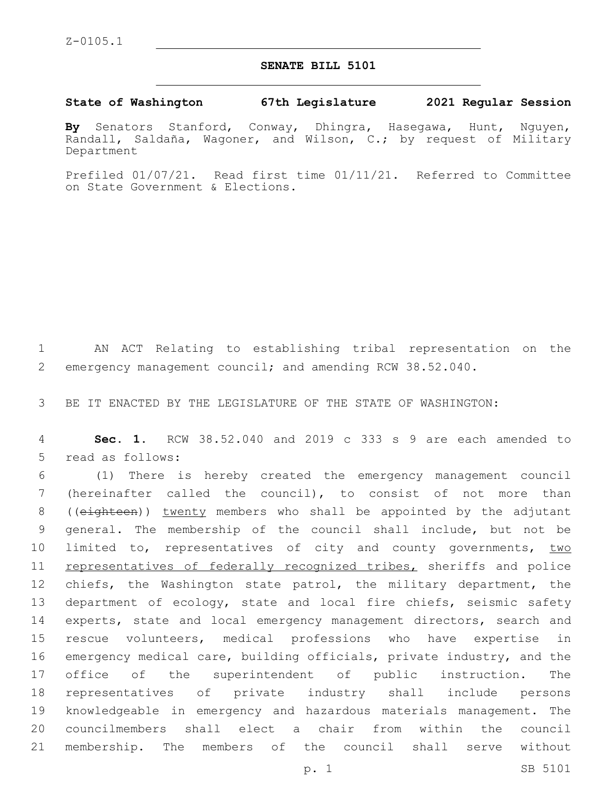## **SENATE BILL 5101**

**State of Washington 67th Legislature 2021 Regular Session**

**By** Senators Stanford, Conway, Dhingra, Hasegawa, Hunt, Nguyen, Randall, Saldaña, Wagoner, and Wilson, C.; by request of Military Department

Prefiled 01/07/21. Read first time 01/11/21. Referred to Committee on State Government & Elections.

1 AN ACT Relating to establishing tribal representation on the 2 emergency management council; and amending RCW 38.52.040.

3 BE IT ENACTED BY THE LEGISLATURE OF THE STATE OF WASHINGTON:

4 **Sec. 1.** RCW 38.52.040 and 2019 c 333 s 9 are each amended to 5 read as follows:

 (1) There is hereby created the emergency management council (hereinafter called the council), to consist of not more than 8 ((eighteen)) twenty members who shall be appointed by the adjutant general. The membership of the council shall include, but not be 10 limited to, representatives of city and county governments, two 11 representatives of federally recognized tribes, sheriffs and police 12 chiefs, the Washington state patrol, the military department, the department of ecology, state and local fire chiefs, seismic safety 14 experts, state and local emergency management directors, search and rescue volunteers, medical professions who have expertise in emergency medical care, building officials, private industry, and the office of the superintendent of public instruction. The representatives of private industry shall include persons knowledgeable in emergency and hazardous materials management. The councilmembers shall elect a chair from within the council membership. The members of the council shall serve without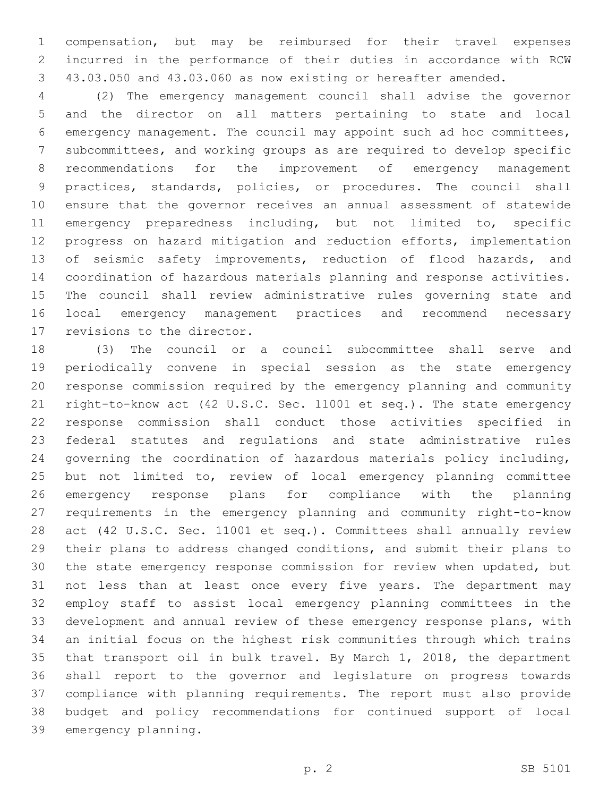compensation, but may be reimbursed for their travel expenses incurred in the performance of their duties in accordance with RCW 43.03.050 and 43.03.060 as now existing or hereafter amended.

 (2) The emergency management council shall advise the governor and the director on all matters pertaining to state and local emergency management. The council may appoint such ad hoc committees, subcommittees, and working groups as are required to develop specific recommendations for the improvement of emergency management practices, standards, policies, or procedures. The council shall ensure that the governor receives an annual assessment of statewide emergency preparedness including, but not limited to, specific progress on hazard mitigation and reduction efforts, implementation 13 of seismic safety improvements, reduction of flood hazards, and coordination of hazardous materials planning and response activities. The council shall review administrative rules governing state and local emergency management practices and recommend necessary 17 revisions to the director.

 (3) The council or a council subcommittee shall serve and periodically convene in special session as the state emergency response commission required by the emergency planning and community right-to-know act (42 U.S.C. Sec. 11001 et seq.). The state emergency response commission shall conduct those activities specified in federal statutes and regulations and state administrative rules governing the coordination of hazardous materials policy including, but not limited to, review of local emergency planning committee emergency response plans for compliance with the planning requirements in the emergency planning and community right-to-know act (42 U.S.C. Sec. 11001 et seq.). Committees shall annually review their plans to address changed conditions, and submit their plans to the state emergency response commission for review when updated, but not less than at least once every five years. The department may employ staff to assist local emergency planning committees in the development and annual review of these emergency response plans, with an initial focus on the highest risk communities through which trains that transport oil in bulk travel. By March 1, 2018, the department shall report to the governor and legislature on progress towards compliance with planning requirements. The report must also provide budget and policy recommendations for continued support of local 39 emergency planning.